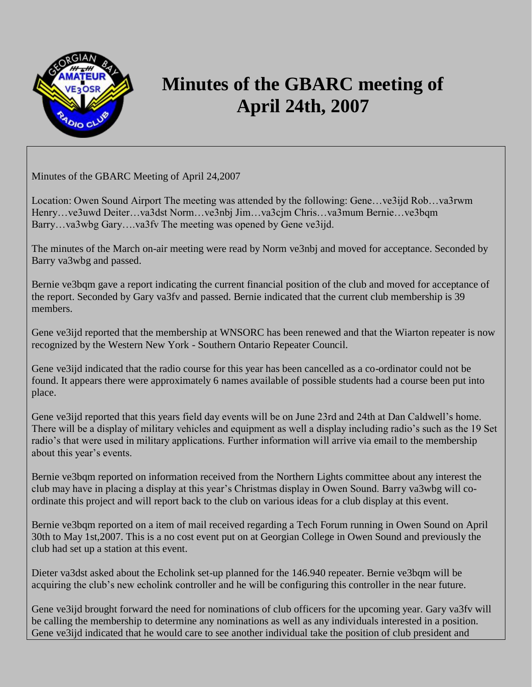

## **Minutes of the GBARC meeting of April 24th, 2007**

Minutes of the GBARC Meeting of April 24,2007

Location: Owen Sound Airport The meeting was attended by the following: Gene…ve3ijd Rob…va3rwm Henry…ve3uwd Deiter…va3dst Norm…ve3nbj Jim…va3cjm Chris…va3mum Bernie…ve3bqm Barry…va3wbg Gary….va3fv The meeting was opened by Gene ve3ijd.

The minutes of the March on-air meeting were read by Norm ve3nbj and moved for acceptance. Seconded by Barry va3wbg and passed.

Bernie ve3bqm gave a report indicating the current financial position of the club and moved for acceptance of the report. Seconded by Gary va3fv and passed. Bernie indicated that the current club membership is 39 members.

Gene ve3ijd reported that the membership at WNSORC has been renewed and that the Wiarton repeater is now recognized by the Western New York - Southern Ontario Repeater Council.

Gene ve3ijd indicated that the radio course for this year has been cancelled as a co-ordinator could not be found. It appears there were approximately 6 names available of possible students had a course been put into place.

Gene ve3ijd reported that this years field day events will be on June 23rd and 24th at Dan Caldwell's home. There will be a display of military vehicles and equipment as well a display including radio's such as the 19 Set radio's that were used in military applications. Further information will arrive via email to the membership about this year's events.

Bernie ve3bqm reported on information received from the Northern Lights committee about any interest the club may have in placing a display at this year's Christmas display in Owen Sound. Barry va3wbg will coordinate this project and will report back to the club on various ideas for a club display at this event.

Bernie ve3bqm reported on a item of mail received regarding a Tech Forum running in Owen Sound on April 30th to May 1st,2007. This is a no cost event put on at Georgian College in Owen Sound and previously the club had set up a station at this event.

Dieter va3dst asked about the Echolink set-up planned for the 146.940 repeater. Bernie ve3bqm will be acquiring the club's new echolink controller and he will be configuring this controller in the near future.

Gene ve3ijd brought forward the need for nominations of club officers for the upcoming year. Gary va3fv will be calling the membership to determine any nominations as well as any individuals interested in a position. Gene ve3ijd indicated that he would care to see another individual take the position of club president and